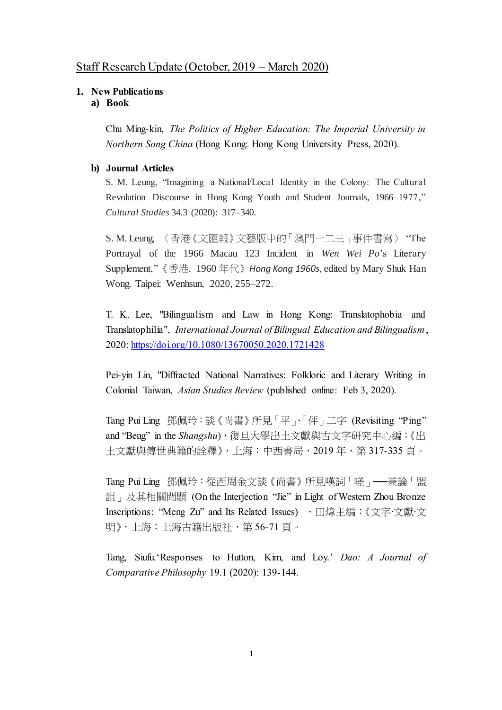# Staff Research Update (October, 2019 – March 2020)

## **1. New Publications**

## **a) Book**

Chu Ming-kin, *The Politics of Higher Education: The Imperial University in Northern Song China* (Hong Kong: Hong Kong University Press, 2020).

## **b) Journal Articles**

S. M. Leung, "Imagining a National/Local Identity in the Colony: The Cultural Revolution Discourse in Hong Kong Youth and Student Journals, 1966–1977," *Cultural Studies* 34.3 (2020): 317–340.

S. M. Leung, 〈香港《文匯報》文藝版中的「澳門一二三」事件書寫〉 "The Portrayal of the 1966 Macau 123 Incident in *Wen Wei Po*'s Literary Supplement,"《香港. 1960 年代》*Hong Kong 1960s*, edited by Mary Shuk Han Wong. Taipei: Wenhsun, 2020, 255–272.

T. K. Lee, "Bilingualism and Law in Hong Kong: Translatophobia and Translatophilia", *International Journal of Bilingual Education and Bilingualism*, 2020:<https://doi.org/10.1080/13670050.2020.1721428>

Pei-yin Lin, "Diffracted National Narratives: Folkloric and Literary Writing in Colonial Taiwan, *Asian Studies Review* (published online: Feb 3, 2020).

Tang Pui Ling 鄧佩玲:談《尚書》所見「平」、「伻」二字 (Revisiting "Ping" and "Beng" in the *Shangshu*),復旦大學出土文獻與古文字研究中心編:《出 土文獻與傳世典籍的詮釋》,上海:中西書局,2019 年,第 317-335 頁。

Tang Pui Ling 鄧佩玲:從西周金文談《尚書》所見嘆詞「嗟」──兼論「盟 詛」及其相關問題 (On the Interjection "Jie" in Light of Western Zhou Bronze Inscriptions: "Meng Zu" and Its Related Issues) , 田煒主編: 《文字·文獻·文 明》,上海:上海古籍出版社,第 56-71 頁。

Tang, Siufu.'Responses to Hutton, Kim, and Loy.' *Dao: A Journal of Comparative Philosophy* 19.1 (2020): 139-144.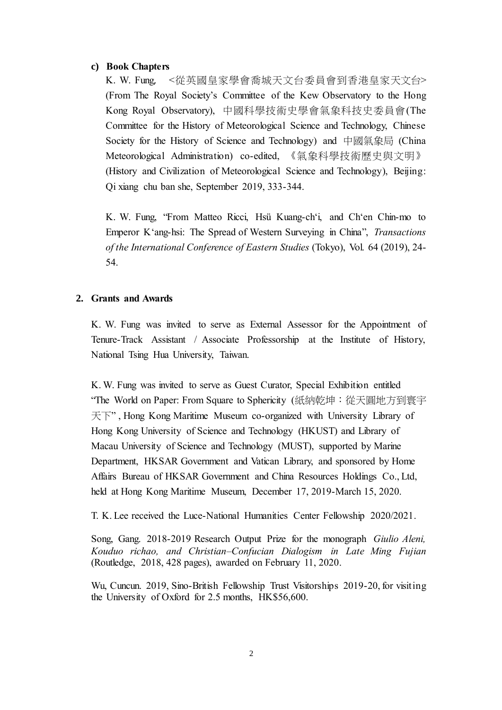#### **c) Book Chapters**

K. W. Fung, <從英國皇家學會喬城天文台委員會到香港皇家天文台> (From The Royal Society's Committee of the Kew Observatory to the Hong Kong Royal Observatory), 中國科學技術史學會氣象科技史委員會(The Committee for the History of Meteorological Science and Technology, Chinese Society for the History of Science and Technology) and 中國氣象局 (China Meteorological Administration) co-edited, 《氣象科學技術歷史與文明》 (History and Civilization of Meteorological Science and Technology), Beijing: Qi xiang chu ban she, September 2019, 333-344.

K. W. Fung, "From Matteo Ricci, Hsü Kuang-ch'i, and Ch'en Chin-mo to Emperor K'ang-hsi: The Spread of Western Surveying in China", *Transactions of the International Conference of Eastern Studies* (Tokyo), Vol. 64 (2019), 24- 54.

### **2. Grants and Awards**

K. W. Fung was invited to serve as External Assessor for the Appointment of Tenure-Track Assistant / Associate Professorship at the Institute of History, National Tsing Hua University, Taiwan.

 K. W. Fung was invited to serve as Guest Curator, Special Exhibition entitled "The World on Paper: From Square to Sphericity (紙納乾坤:從天圓地方到寰宇 天下" , Hong Kong Maritime Museum co-organized with University Library of Hong Kong University of Science and Technology (HKUST) and Library of Macau University of Science and Technology (MUST), supported by Marine Department, HKSAR Government and Vatican Library, and sponsored by Home Affairs Bureau of HKSAR Government and China Resources Holdings Co., Ltd, held at Hong Kong Maritime Museum, December 17, 2019-March 15, 2020.

T. K. Lee received the Luce-National Humanities Center Fellowship 2020/2021.

Song, Gang. 2018-2019 Research Output Prize for the monograph *Giulio Aleni, Kouduo richao, and Christian–Confucian Dialogism in Late Ming Fujian* (Routledge, 2018, 428 pages), awarded on February 11, 2020.

Wu, Cuncun. 2019, Sino-British Fellowship Trust Visitorships 2019-20, for visiting the University of Oxford for 2.5 months, HK\$56,600.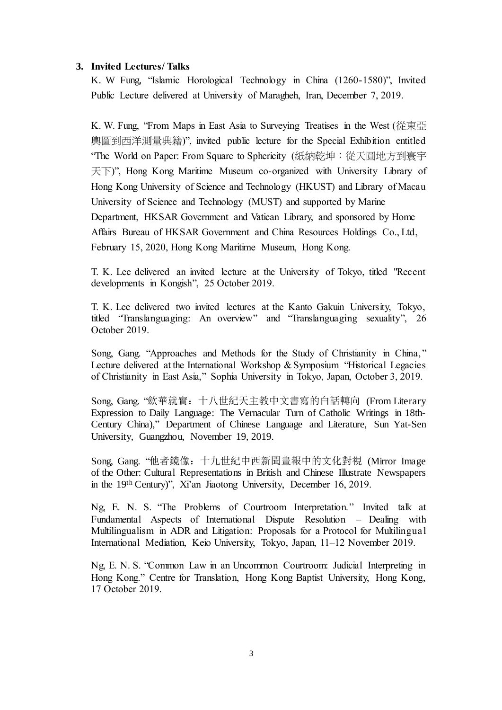## **3. Invited Lectures/ Talks**

K. W Fung, "Islamic Horological Technology in China (1260-1580)", Invited Public Lecture delivered at University of Maragheh, Iran, December 7, 2019.

K. W. Fung, "From Maps in East Asia to Surveying Treatises in the West (從東亞 輿圖到西洋測量典籍)", invited public lecture for the Special Exhibition entitled "The World on Paper: From Square to Sphericity (紙納乾坤:從天圓地方到寰宇 天下)", Hong Kong Maritime Museum co-organized with University Library of Hong Kong University of Science and Technology (HKUST) and Library of Macau University of Science and Technology (MUST) and supported by Marine Department, HKSAR Government and Vatican Library, and sponsored by Home Affairs Bureau of HKSAR Government and China Resources Holdings Co., Ltd, February 15, 2020, Hong Kong Maritime Museum, Hong Kong.

T. K. Lee delivered an invited lecture at the University of Tokyo, titled "Recent developments in Kongish", 25 October 2019.

T. K. Lee delivered two invited lectures at the Kanto Gakuin University, Tokyo, titled "Translanguaging: An overview" and "Translanguaging sexuality", 26 October 2019.

Song, Gang. "Approaches and Methods for the Study of Christianity in China, " Lecture delivered at the International Workshop & Symposium "Historical Legacies of Christianity in East Asia," Sophia University in Tokyo, Japan, October 3, 2019.

Song, Gang. "歛華就實:十八世紀天主教中文書寫的白話轉向 (From Literary Expression to Daily Language: The Vernacular Turn of Catholic Writings in 18th-Century China)," Department of Chinese Language and Literature, Sun Yat-Sen University, Guangzhou, November 19, 2019.

Song, Gang. "他者鏡像:十九世紀中西新聞畫報中的文化對視 (Mirror Image of the Other: Cultural Representations in British and Chinese Illustrate Newspapers in the 19th Century)", Xi'an Jiaotong University, December 16, 2019.

Ng, E. N. S. "The Problems of Courtroom Interpretation." Invited talk at Fundamental Aspects of International Dispute Resolution – Dealing with Multilingualism in ADR and Litigation: Proposals for a Protocol for Multilingual International Mediation, Keio University, Tokyo, Japan, 11–12 November 2019.

Ng, E. N. S. "Common Law in an Uncommon Courtroom: Judicial Interpreting in Hong Kong." Centre for Translation, Hong Kong Baptist University, Hong Kong, 17 October 2019.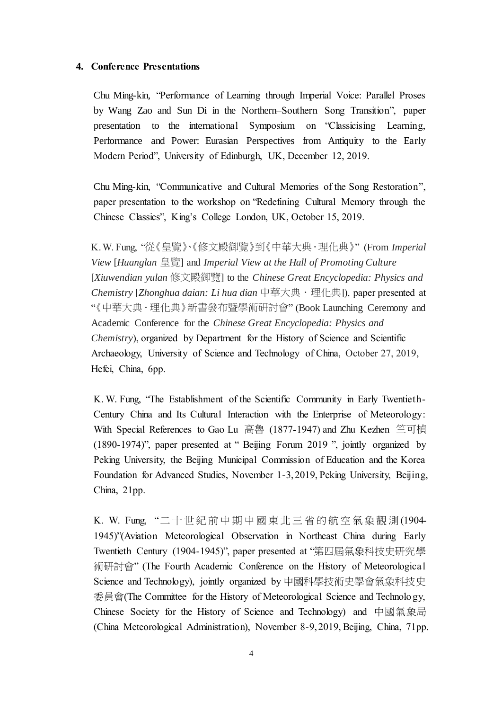#### **4. Conference Presentations**

Chu Ming-kin, "Performance of Learning through Imperial Voice: Parallel Proses by Wang Zao and Sun Di in the Northern–Southern Song Transition", paper presentation to the international Symposium on "Classicising Learning, Performance and Power: Eurasian Perspectives from Antiquity to the Early Modern Period", University of Edinburgh, UK, December 12, 2019.

Chu Ming-kin, "Communicative and Cultural Memories of the Song Restoration", paper presentation to the workshop on "Redefining Cultural Memory through the Chinese Classics", King's College London, UK, October 15, 2019.

K. W. Fung, "從《皇覽》、《修文殿御覽》到《中華大典.理化典》" (From *Imperial View* [*Huanglan* 皇覽] and *Imperial View at the Hall of Promoting Culture* [*Xiuwendian yulan* 修文殿御覽] to the *Chinese Great Encyclopedia: Physics and Chemistry* [*Zhonghua daian: Li hua dian* 中華大典.理化典]), paper presented at "《中華大典·理化典》新書發布暨學術研討會" (Book Launching Ceremony and Academic Conference for the *Chinese Great Encyclopedia: Physics and Chemistry*), organized by Department for the History of Science and Scientific Archaeology, University of Science and Technology of China, October 27, 2019, Hefei, China, 6pp.

K. W. Fung, "The Establishment of the Scientific Community in Early Twentieth-Century China and Its Cultural Interaction with the Enterprise of Meteorology: With Special References to Gao Lu 高魯 (1877-1947) and Zhu Kezhen 竺可楨 (1890-1974)", paper presented at " Beijing Forum 2019 ", jointly organized by Peking University, the Beijing Municipal Commission of Education and the Korea Foundation for Advanced Studies, November 1-3, 2019, Peking University, Beijing, China, 21pp.

K. W. Fung, "二十世紀前中期中國東北三省的航空氣象觀測 (1904- 1945)"(Aviation Meteorological Observation in Northeast China during Early Twentieth Century (1904-1945)", paper presented at "第四屆氣象科技史研究學 術研討會" (The Fourth Academic Conference on the History of Meteorological Science and Technology), jointly organized by 中國科學技術史學會氣象科技史 委員會(The Committee for the History of Meteorological Science and Technology, Chinese Society for the History of Science and Technology) and 中國氣象局 (China Meteorological Administration), November 8-9, 2019, Beijing, China, 71pp.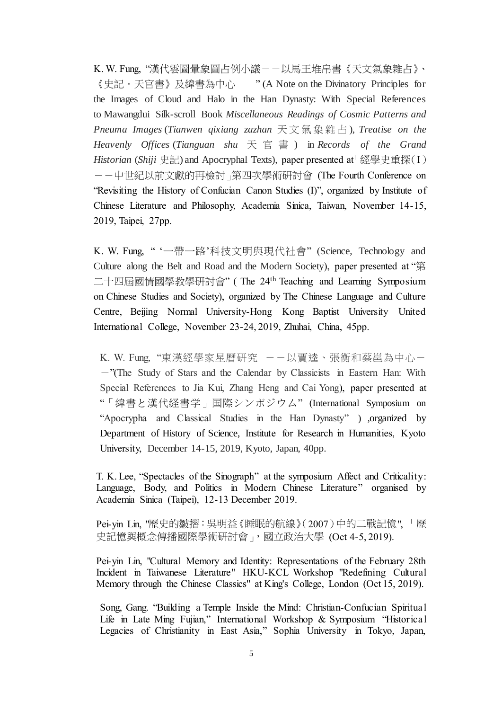K.W.Fung, "漢代雲圖暈象圖占例小議--以馬王堆帛書《天文氣象雜占》、 《史記·天官書》及緯書為中心--" (A Note on the Divinatory Principles for the Images of Cloud and Halo in the Han Dynasty: With Special References to Mawangdui Silk-scroll Book *Miscellaneous Readings of Cosmic Patterns and Pneuma Images* (*Tianwen qixiang zazhan* 天文氣象雜占 ), *Treatise on the Heavenly Offices* (*Tianguan shu* 天官書 ) in *Records of the Grand Historian* (*Shiji* 史記) and Apocryphal Texts), paper presented at「經學史重探(I) --中世紀以前文獻的再檢討」第四次學術研討會 (The Fourth Conference on "Revisiting the History of Confucian Canon Studies (I)", organized by Institute of Chinese Literature and Philosophy, Academia Sinica, Taiwan, November 14-15, 2019, Taipei, 27pp.

K. W. Fung, " '一帶一路'科技文明與現代社會" (Science, Technology and Culture along the Belt and Road and the Modern Society), paper presented at "第 二十四屆國情國學教學研討會" ( The 24th Teaching and Learning Symposium on Chinese Studies and Society), organized by The Chinese Language and Culture Centre, Beijing Normal University-Hong Kong Baptist University United International College, November 23-24, 2019, Zhuhai, China, 45pp.

K. W. Fung, "東漢經學家星曆研究 --以賈逵、張衡和蔡邕為中心--"(The Study of Stars and the Calendar by Classicists in Eastern Han: With Special References to Jia Kui, Zhang Heng and Cai Yong), paper presented at "「緯書と漢代経書学」国際シンポジウム" (International Symposium on "Apocrypha and Classical Studies in the Han Dynasty" ) ,organized by Department of History of Science, Institute for Research in Humanities, Kyoto University, December 14-15, 2019, Kyoto, Japan, 40pp.

T. K. Lee, "Spectacles of the Sinograph" at the symposium Affect and Criticality: Language, Body, and Politics in Modern Chinese Literature" organised by Academia Sinica (Taipei), 12-13 December 2019.

Pei-yin Lin, "歷史的皺摺:吳明益《睡眠的航線》(2007)中的二戰記憶", 「歷 史記憶與概念傳播國際學術研討會」,國立政治大學 (Oct 4-5, 2019).

Pei-yin Lin, "Cultural Memory and Identity: Representations of the February 28th Incident in Taiwanese Literature" HKU-KCL Workshop "Redefining Cultural Memory through the Chinese Classics" at King's College, London (Oct 15, 2019).

Song, Gang. "Building a Temple Inside the Mind: Christian-Confucian Spiritual Life in Late Ming Fujian," International Workshop & Symposium "Historical Legacies of Christianity in East Asia," Sophia University in Tokyo, Japan,